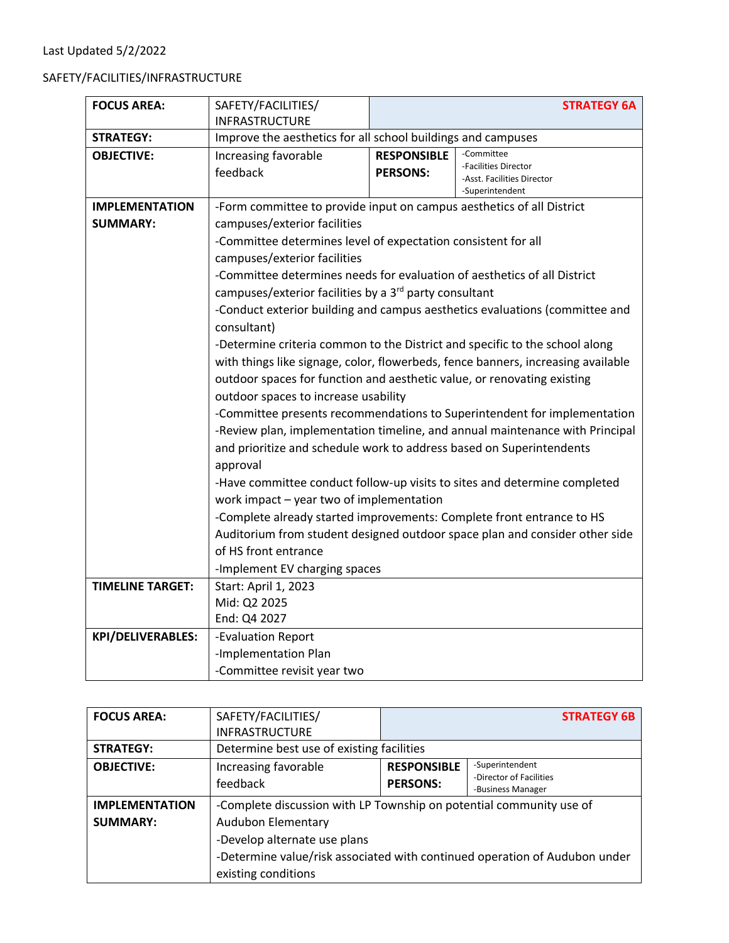## SAFETY/FACILITIES/INFRASTRUCTURE

| <b>FOCUS AREA:</b>       | SAFETY/FACILITIES/                                                               |                                                                              | <b>STRATEGY 6A</b>                                                          |  |
|--------------------------|----------------------------------------------------------------------------------|------------------------------------------------------------------------------|-----------------------------------------------------------------------------|--|
|                          | <b>INFRASTRUCTURE</b>                                                            |                                                                              |                                                                             |  |
| <b>STRATEGY:</b>         |                                                                                  | Improve the aesthetics for all school buildings and campuses                 |                                                                             |  |
| <b>OBJECTIVE:</b>        | Increasing favorable<br>feedback                                                 | <b>RESPONSIBLE</b><br><b>PERSONS:</b>                                        | -Committee<br>-Facilities Director<br>-Asst. Facilities Director            |  |
|                          |                                                                                  |                                                                              | -Superintendent                                                             |  |
| <b>IMPLEMENTATION</b>    | -Form committee to provide input on campus aesthetics of all District            |                                                                              |                                                                             |  |
| <b>SUMMARY:</b>          | campuses/exterior facilities                                                     |                                                                              |                                                                             |  |
|                          | -Committee determines level of expectation consistent for all                    |                                                                              |                                                                             |  |
|                          | campuses/exterior facilities                                                     |                                                                              |                                                                             |  |
|                          | -Committee determines needs for evaluation of aesthetics of all District         |                                                                              |                                                                             |  |
|                          | campuses/exterior facilities by a 3 <sup>rd</sup> party consultant               |                                                                              |                                                                             |  |
|                          |                                                                                  |                                                                              | -Conduct exterior building and campus aesthetics evaluations (committee and |  |
|                          | consultant)                                                                      |                                                                              |                                                                             |  |
|                          |                                                                                  |                                                                              | -Determine criteria common to the District and specific to the school along |  |
|                          | with things like signage, color, flowerbeds, fence banners, increasing available |                                                                              |                                                                             |  |
|                          |                                                                                  | outdoor spaces for function and aesthetic value, or renovating existing      |                                                                             |  |
|                          | outdoor spaces to increase usability                                             |                                                                              |                                                                             |  |
|                          |                                                                                  |                                                                              | -Committee presents recommendations to Superintendent for implementation    |  |
|                          |                                                                                  | -Review plan, implementation timeline, and annual maintenance with Principal |                                                                             |  |
|                          | and prioritize and schedule work to address based on Superintendents             |                                                                              |                                                                             |  |
|                          | approval                                                                         |                                                                              |                                                                             |  |
|                          |                                                                                  | -Have committee conduct follow-up visits to sites and determine completed    |                                                                             |  |
|                          | work impact - year two of implementation                                         | -Complete already started improvements: Complete front entrance to HS        |                                                                             |  |
|                          |                                                                                  |                                                                              |                                                                             |  |
|                          |                                                                                  |                                                                              | Auditorium from student designed outdoor space plan and consider other side |  |
|                          | of HS front entrance                                                             |                                                                              |                                                                             |  |
|                          | -Implement EV charging spaces                                                    |                                                                              |                                                                             |  |
| <b>TIMELINE TARGET:</b>  | Start: April 1, 2023                                                             |                                                                              |                                                                             |  |
|                          | Mid: Q2 2025                                                                     |                                                                              |                                                                             |  |
|                          | End: Q4 2027                                                                     |                                                                              |                                                                             |  |
| <b>KPI/DELIVERABLES:</b> | -Evaluation Report                                                               |                                                                              |                                                                             |  |
|                          | -Implementation Plan                                                             |                                                                              |                                                                             |  |
|                          | -Committee revisit year two                                                      |                                                                              |                                                                             |  |

| <b>FOCUS AREA:</b>    | SAFETY/FACILITIES/                                                         |                    | <b>STRATEGY 6B</b>      |
|-----------------------|----------------------------------------------------------------------------|--------------------|-------------------------|
|                       | <b>INFRASTRUCTURE</b>                                                      |                    |                         |
| <b>STRATEGY:</b>      | Determine best use of existing facilities                                  |                    |                         |
| <b>OBJECTIVE:</b>     | Increasing favorable                                                       | <b>RESPONSIBLE</b> | -Superintendent         |
|                       | feedback                                                                   | <b>PERSONS:</b>    | -Director of Facilities |
|                       |                                                                            |                    | -Business Manager       |
| <b>IMPLEMENTATION</b> | -Complete discussion with LP Township on potential community use of        |                    |                         |
| <b>SUMMARY:</b>       | <b>Audubon Elementary</b>                                                  |                    |                         |
|                       | -Develop alternate use plans                                               |                    |                         |
|                       | -Determine value/risk associated with continued operation of Audubon under |                    |                         |
|                       | existing conditions                                                        |                    |                         |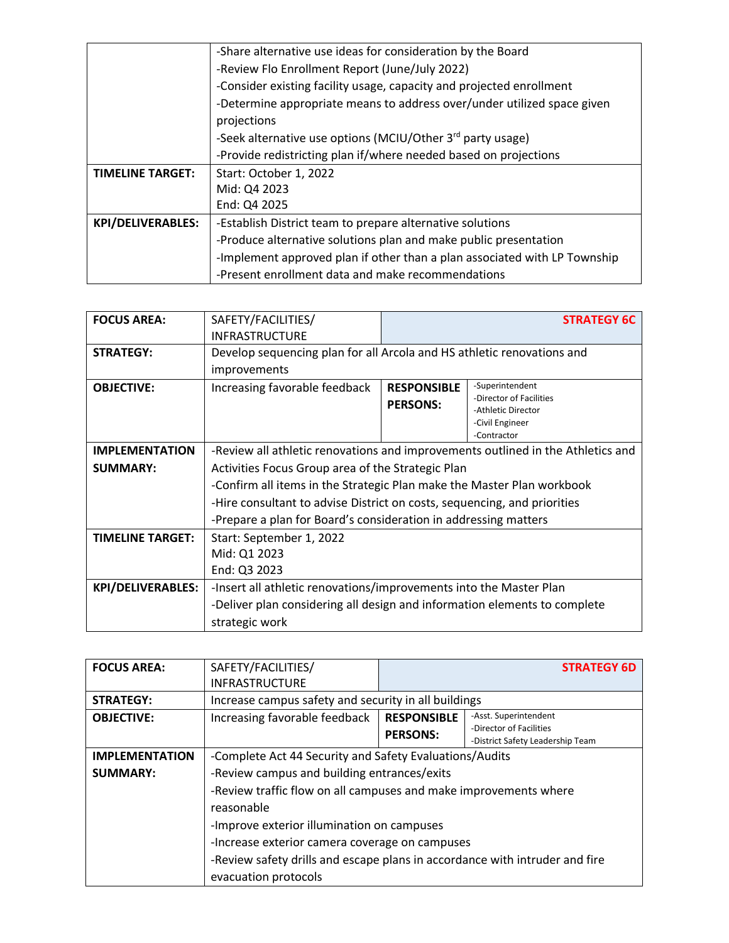|                          | -Share alternative use ideas for consideration by the Board               |  |  |
|--------------------------|---------------------------------------------------------------------------|--|--|
|                          | -Review Flo Enrollment Report (June/July 2022)                            |  |  |
|                          | -Consider existing facility usage, capacity and projected enrollment      |  |  |
|                          | -Determine appropriate means to address over/under utilized space given   |  |  |
|                          | projections                                                               |  |  |
|                          | -Seek alternative use options (MCIU/Other 3rd party usage)                |  |  |
|                          | -Provide redistricting plan if/where needed based on projections          |  |  |
| <b>TIMELINE TARGET:</b>  | Start: October 1, 2022                                                    |  |  |
|                          | Mid: Q4 2023                                                              |  |  |
|                          | End: Q4 2025                                                              |  |  |
| <b>KPI/DELIVERABLES:</b> | -Establish District team to prepare alternative solutions                 |  |  |
|                          | -Produce alternative solutions plan and make public presentation          |  |  |
|                          | -Implement approved plan if other than a plan associated with LP Township |  |  |
|                          | -Present enrollment data and make recommendations                         |  |  |

| <b>FOCUS AREA:</b>       | SAFETY/FACILITIES/                                                              | <b>STRATEGY 6C</b>                                                       |                                               |  |
|--------------------------|---------------------------------------------------------------------------------|--------------------------------------------------------------------------|-----------------------------------------------|--|
|                          | <b>INFRASTRUCTURE</b>                                                           |                                                                          |                                               |  |
| <b>STRATEGY:</b>         | Develop sequencing plan for all Arcola and HS athletic renovations and          |                                                                          |                                               |  |
|                          | improvements                                                                    |                                                                          |                                               |  |
| <b>OBJECTIVE:</b>        | Increasing favorable feedback                                                   | <b>RESPONSIBLE</b>                                                       | -Superintendent                               |  |
|                          |                                                                                 | <b>PERSONS:</b>                                                          | -Director of Facilities<br>-Athletic Director |  |
|                          |                                                                                 |                                                                          | -Civil Engineer                               |  |
|                          |                                                                                 |                                                                          | -Contractor                                   |  |
| <b>IMPLEMENTATION</b>    | -Review all athletic renovations and improvements outlined in the Athletics and |                                                                          |                                               |  |
| <b>SUMMARY:</b>          | Activities Focus Group area of the Strategic Plan                               |                                                                          |                                               |  |
|                          | -Confirm all items in the Strategic Plan make the Master Plan workbook          |                                                                          |                                               |  |
|                          |                                                                                 | -Hire consultant to advise District on costs, sequencing, and priorities |                                               |  |
|                          | -Prepare a plan for Board's consideration in addressing matters                 |                                                                          |                                               |  |
| <b>TIMELINE TARGET:</b>  | Start: September 1, 2022                                                        |                                                                          |                                               |  |
|                          | Mid: Q1 2023                                                                    |                                                                          |                                               |  |
|                          | End: Q3 2023                                                                    |                                                                          |                                               |  |
| <b>KPI/DELIVERABLES:</b> | -Insert all athletic renovations/improvements into the Master Plan              |                                                                          |                                               |  |
|                          | -Deliver plan considering all design and information elements to complete       |                                                                          |                                               |  |
|                          | strategic work                                                                  |                                                                          |                                               |  |

| <b>FOCUS AREA:</b>    | SAFETY/FACILITIES/                                                          |                                       | <b>STRATEGY 6D</b>                                                                   |
|-----------------------|-----------------------------------------------------------------------------|---------------------------------------|--------------------------------------------------------------------------------------|
|                       | <b>INFRASTRUCTURE</b>                                                       |                                       |                                                                                      |
| <b>STRATEGY:</b>      | Increase campus safety and security in all buildings                        |                                       |                                                                                      |
| <b>OBJECTIVE:</b>     | Increasing favorable feedback                                               | <b>RESPONSIBLE</b><br><b>PERSONS:</b> | -Asst. Superintendent<br>-Director of Facilities<br>-District Safety Leadership Team |
| <b>IMPLEMENTATION</b> | -Complete Act 44 Security and Safety Evaluations/Audits                     |                                       |                                                                                      |
| <b>SUMMARY:</b>       | -Review campus and building entrances/exits                                 |                                       |                                                                                      |
|                       | -Review traffic flow on all campuses and make improvements where            |                                       |                                                                                      |
|                       | reasonable                                                                  |                                       |                                                                                      |
|                       | -Improve exterior illumination on campuses                                  |                                       |                                                                                      |
|                       | -Increase exterior camera coverage on campuses                              |                                       |                                                                                      |
|                       | -Review safety drills and escape plans in accordance with intruder and fire |                                       |                                                                                      |
|                       | evacuation protocols                                                        |                                       |                                                                                      |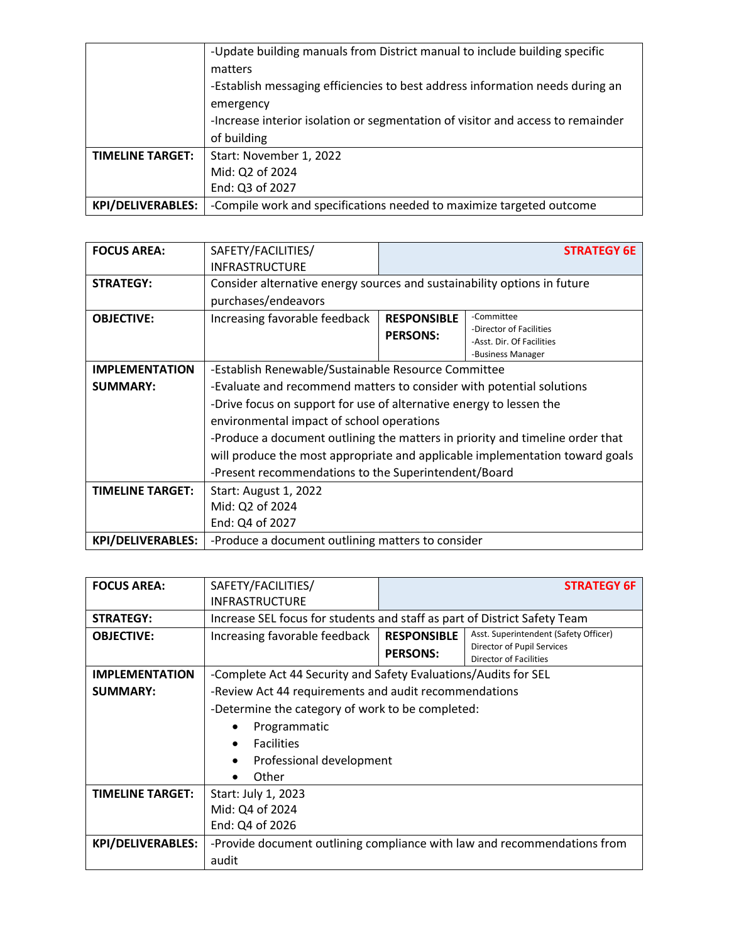|                          | -Update building manuals from District manual to include building specific      |
|--------------------------|---------------------------------------------------------------------------------|
|                          | matters                                                                         |
|                          | -Establish messaging efficiencies to best address information needs during an   |
|                          | emergency                                                                       |
|                          | -Increase interior isolation or segmentation of visitor and access to remainder |
|                          | of building                                                                     |
| <b>TIMELINE TARGET:</b>  | Start: November 1, 2022                                                         |
|                          | Mid: Q2 of 2024                                                                 |
|                          | End: Q3 of 2027                                                                 |
| <b>KPI/DELIVERABLES:</b> | -Compile work and specifications needed to maximize targeted outcome            |

| <b>FOCUS AREA:</b>       | SAFETY/FACILITIES/                                                            |                    | <b>STRATEGY 6E</b>                                   |
|--------------------------|-------------------------------------------------------------------------------|--------------------|------------------------------------------------------|
|                          | <b>INFRASTRUCTURE</b>                                                         |                    |                                                      |
| <b>STRATEGY:</b>         | Consider alternative energy sources and sustainability options in future      |                    |                                                      |
|                          | purchases/endeavors                                                           |                    |                                                      |
| <b>OBJECTIVE:</b>        | Increasing favorable feedback                                                 | <b>RESPONSIBLE</b> | -Committee                                           |
|                          |                                                                               | <b>PERSONS:</b>    | -Director of Facilities<br>-Asst. Dir. Of Facilities |
|                          |                                                                               |                    | -Business Manager                                    |
| <b>IMPLEMENTATION</b>    | -Establish Renewable/Sustainable Resource Committee                           |                    |                                                      |
| <b>SUMMARY:</b>          | -Evaluate and recommend matters to consider with potential solutions          |                    |                                                      |
|                          | -Drive focus on support for use of alternative energy to lessen the           |                    |                                                      |
|                          | environmental impact of school operations                                     |                    |                                                      |
|                          | -Produce a document outlining the matters in priority and timeline order that |                    |                                                      |
|                          | will produce the most appropriate and applicable implementation toward goals  |                    |                                                      |
|                          | -Present recommendations to the Superintendent/Board                          |                    |                                                      |
| <b>TIMELINE TARGET:</b>  | <b>Start: August 1, 2022</b>                                                  |                    |                                                      |
|                          | Mid: Q2 of 2024                                                               |                    |                                                      |
|                          | End: Q4 of 2027                                                               |                    |                                                      |
| <b>KPI/DELIVERABLES:</b> | -Produce a document outlining matters to consider                             |                    |                                                      |

| <b>FOCUS AREA:</b>       | SAFETY/FACILITIES/                                                        | <b>STRATEGY 6F</b> |                                                             |
|--------------------------|---------------------------------------------------------------------------|--------------------|-------------------------------------------------------------|
|                          | <b>INFRASTRUCTURE</b>                                                     |                    |                                                             |
| <b>STRATEGY:</b>         | Increase SEL focus for students and staff as part of District Safety Team |                    |                                                             |
| <b>OBJECTIVE:</b>        | Increasing favorable feedback                                             | <b>RESPONSIBLE</b> | Asst. Superintendent (Safety Officer)                       |
|                          |                                                                           | <b>PERSONS:</b>    | Director of Pupil Services<br><b>Director of Facilities</b> |
|                          |                                                                           |                    |                                                             |
| <b>IMPLEMENTATION</b>    | -Complete Act 44 Security and Safety Evaluations/Audits for SEL           |                    |                                                             |
| <b>SUMMARY:</b>          | -Review Act 44 requirements and audit recommendations                     |                    |                                                             |
|                          | -Determine the category of work to be completed:                          |                    |                                                             |
|                          | Programmatic                                                              |                    |                                                             |
|                          | <b>Facilities</b>                                                         |                    |                                                             |
|                          | Professional development<br>$\bullet$                                     |                    |                                                             |
|                          | Other                                                                     |                    |                                                             |
| <b>TIMELINE TARGET:</b>  | Start: July 1, 2023                                                       |                    |                                                             |
|                          | Mid: Q4 of 2024                                                           |                    |                                                             |
|                          | End: Q4 of 2026                                                           |                    |                                                             |
| <b>KPI/DELIVERABLES:</b> | -Provide document outlining compliance with law and recommendations from  |                    |                                                             |
|                          | audit                                                                     |                    |                                                             |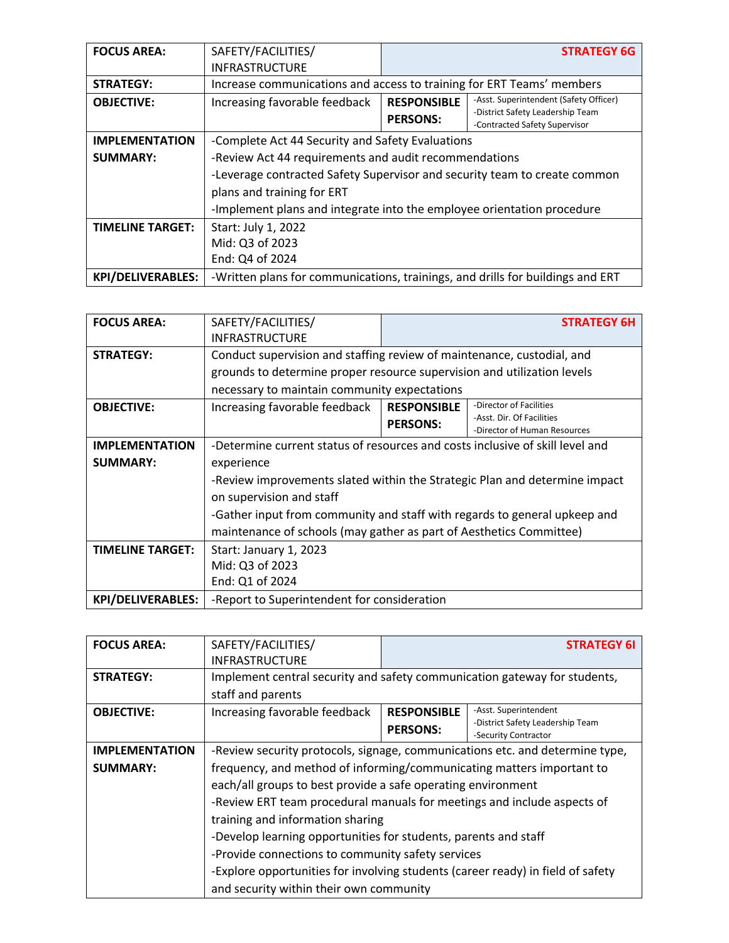| <b>FOCUS AREA:</b>       | SAFETY/FACILITIES/                                                             | <b>STRATEGY 6G</b>                    |                                                                                                             |
|--------------------------|--------------------------------------------------------------------------------|---------------------------------------|-------------------------------------------------------------------------------------------------------------|
|                          | <b>INFRASTRUCTURE</b>                                                          |                                       |                                                                                                             |
| <b>STRATEGY:</b>         | Increase communications and access to training for ERT Teams' members          |                                       |                                                                                                             |
| <b>OBJECTIVE:</b>        | Increasing favorable feedback                                                  | <b>RESPONSIBLE</b><br><b>PERSONS:</b> | -Asst. Superintendent (Safety Officer)<br>-District Safety Leadership Team<br>-Contracted Safety Supervisor |
| <b>IMPLEMENTATION</b>    | -Complete Act 44 Security and Safety Evaluations                               |                                       |                                                                                                             |
| <b>SUMMARY:</b>          | -Review Act 44 requirements and audit recommendations                          |                                       |                                                                                                             |
|                          | -Leverage contracted Safety Supervisor and security team to create common      |                                       |                                                                                                             |
|                          | plans and training for ERT                                                     |                                       |                                                                                                             |
|                          | -Implement plans and integrate into the employee orientation procedure         |                                       |                                                                                                             |
| <b>TIMELINE TARGET:</b>  | Start: July 1, 2022                                                            |                                       |                                                                                                             |
|                          | Mid: Q3 of 2023                                                                |                                       |                                                                                                             |
|                          | End: Q4 of 2024                                                                |                                       |                                                                                                             |
| <b>KPI/DELIVERABLES:</b> | -Written plans for communications, trainings, and drills for buildings and ERT |                                       |                                                                                                             |

| <b>FOCUS AREA:</b>       | SAFETY/FACILITIES/                                                            |                    | <b>STRATEGY 6H</b>           |
|--------------------------|-------------------------------------------------------------------------------|--------------------|------------------------------|
|                          | <b>INFRASTRUCTURE</b>                                                         |                    |                              |
| <b>STRATEGY:</b>         | Conduct supervision and staffing review of maintenance, custodial, and        |                    |                              |
|                          | grounds to determine proper resource supervision and utilization levels       |                    |                              |
|                          | necessary to maintain community expectations                                  |                    |                              |
| <b>OBJECTIVE:</b>        | Increasing favorable feedback                                                 | <b>RESPONSIBLE</b> | -Director of Facilities      |
|                          |                                                                               | <b>PERSONS:</b>    | -Asst. Dir. Of Facilities    |
|                          |                                                                               |                    | -Director of Human Resources |
| <b>IMPLEMENTATION</b>    | -Determine current status of resources and costs inclusive of skill level and |                    |                              |
| <b>SUMMARY:</b>          | experience                                                                    |                    |                              |
|                          | -Review improvements slated within the Strategic Plan and determine impact    |                    |                              |
|                          | on supervision and staff                                                      |                    |                              |
|                          | -Gather input from community and staff with regards to general upkeep and     |                    |                              |
|                          | maintenance of schools (may gather as part of Aesthetics Committee)           |                    |                              |
| <b>TIMELINE TARGET:</b>  | Start: January 1, 2023                                                        |                    |                              |
|                          | Mid: Q3 of 2023                                                               |                    |                              |
|                          | End: Q1 of 2024                                                               |                    |                              |
| <b>KPI/DELIVERABLES:</b> | -Report to Superintendent for consideration                                   |                    |                              |

| <b>FOCUS AREA:</b>    | SAFETY/FACILITIES/                                                              |                    | <b>STRATEGY 6I</b>                                        |
|-----------------------|---------------------------------------------------------------------------------|--------------------|-----------------------------------------------------------|
|                       | <b>INFRASTRUCTURE</b>                                                           |                    |                                                           |
| <b>STRATEGY:</b>      | Implement central security and safety communication gateway for students,       |                    |                                                           |
|                       | staff and parents                                                               |                    |                                                           |
| <b>OBJECTIVE:</b>     | Increasing favorable feedback                                                   | <b>RESPONSIBLE</b> | -Asst. Superintendent<br>-District Safety Leadership Team |
|                       |                                                                                 | <b>PERSONS:</b>    | -Security Contractor                                      |
| <b>IMPLEMENTATION</b> | -Review security protocols, signage, communications etc. and determine type,    |                    |                                                           |
| <b>SUMMARY:</b>       | frequency, and method of informing/communicating matters important to           |                    |                                                           |
|                       | each/all groups to best provide a safe operating environment                    |                    |                                                           |
|                       | -Review ERT team procedural manuals for meetings and include aspects of         |                    |                                                           |
|                       | training and information sharing                                                |                    |                                                           |
|                       | -Develop learning opportunities for students, parents and staff                 |                    |                                                           |
|                       | -Provide connections to community safety services                               |                    |                                                           |
|                       | -Explore opportunities for involving students (career ready) in field of safety |                    |                                                           |
|                       | and security within their own community                                         |                    |                                                           |